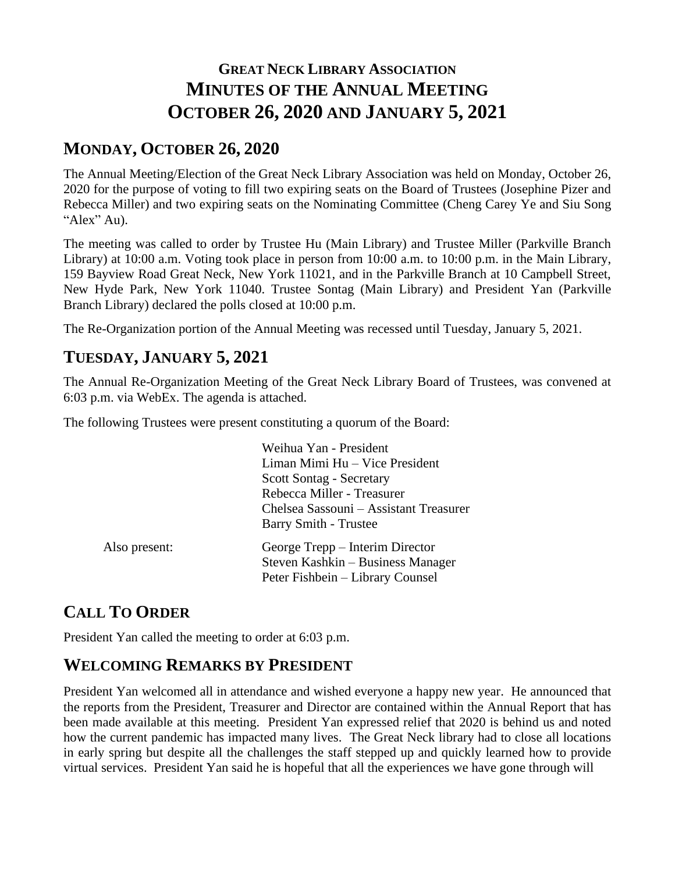# **GREAT NECK LIBRARY ASSOCIATION MINUTES OF THE ANNUAL MEETING OCTOBER 26, 2020 AND JANUARY 5, 2021**

## **MONDAY, OCTOBER 26, 2020**

The Annual Meeting/Election of the Great Neck Library Association was held on Monday, October 26, 2020 for the purpose of voting to fill two expiring seats on the Board of Trustees (Josephine Pizer and Rebecca Miller) and two expiring seats on the Nominating Committee (Cheng Carey Ye and Siu Song "Alex" Au).

The meeting was called to order by Trustee Hu (Main Library) and Trustee Miller (Parkville Branch Library) at 10:00 a.m. Voting took place in person from 10:00 a.m. to 10:00 p.m. in the Main Library, 159 Bayview Road Great Neck, New York 11021, and in the Parkville Branch at 10 Campbell Street, New Hyde Park, New York 11040. Trustee Sontag (Main Library) and President Yan (Parkville Branch Library) declared the polls closed at 10:00 p.m.

The Re-Organization portion of the Annual Meeting was recessed until Tuesday, January 5, 2021.

## **TUESDAY, JANUARY 5, 2021**

The Annual Re-Organization Meeting of the Great Neck Library Board of Trustees, was convened at 6:03 p.m. via WebEx. The agenda is attached.

The following Trustees were present constituting a quorum of the Board:

|               | Weihua Yan - President<br>Liman Mimi Hu - Vice President<br>Scott Sontag - Secretary<br>Rebecca Miller - Treasurer<br>Chelsea Sassouni – Assistant Treasurer<br>Barry Smith - Trustee |
|---------------|---------------------------------------------------------------------------------------------------------------------------------------------------------------------------------------|
| Also present: | George Trepp – Interim Director<br>Steven Kashkin – Business Manager<br>Peter Fishbein – Library Counsel                                                                              |

# **CALL TO ORDER**

President Yan called the meeting to order at 6:03 p.m.

## **WELCOMING REMARKS BY PRESIDENT**

President Yan welcomed all in attendance and wished everyone a happy new year. He announced that the reports from the President, Treasurer and Director are contained within the Annual Report that has been made available at this meeting. President Yan expressed relief that 2020 is behind us and noted how the current pandemic has impacted many lives. The Great Neck library had to close all locations in early spring but despite all the challenges the staff stepped up and quickly learned how to provide virtual services. President Yan said he is hopeful that all the experiences we have gone through will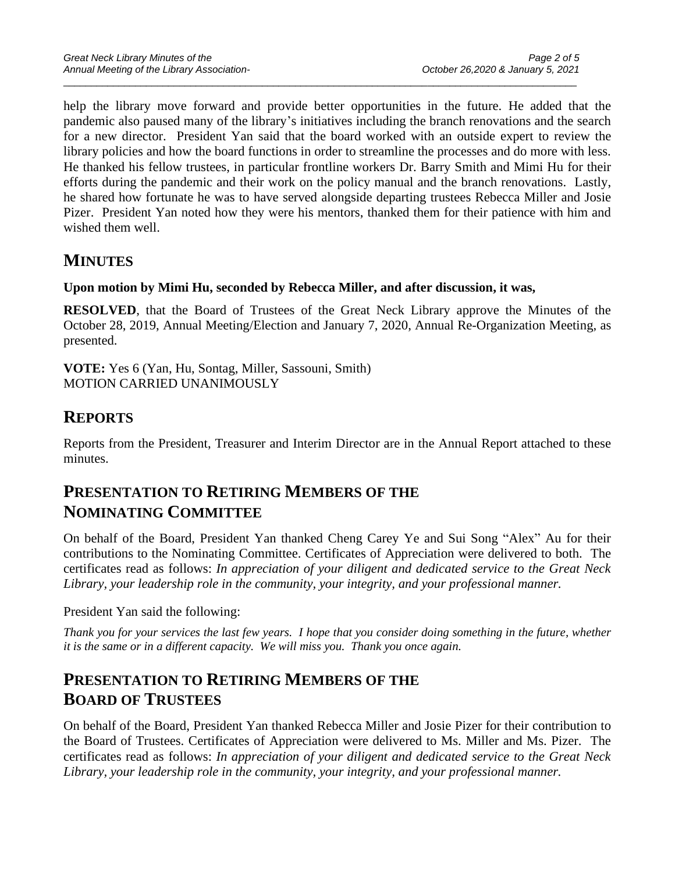help the library move forward and provide better opportunities in the future. He added that the pandemic also paused many of the library's initiatives including the branch renovations and the search for a new director. President Yan said that the board worked with an outside expert to review the library policies and how the board functions in order to streamline the processes and do more with less. He thanked his fellow trustees, in particular frontline workers Dr. Barry Smith and Mimi Hu for their efforts during the pandemic and their work on the policy manual and the branch renovations. Lastly, he shared how fortunate he was to have served alongside departing trustees Rebecca Miller and Josie Pizer. President Yan noted how they were his mentors, thanked them for their patience with him and wished them well.

## **MINUTES**

#### **Upon motion by Mimi Hu, seconded by Rebecca Miller, and after discussion, it was,**

**RESOLVED**, that the Board of Trustees of the Great Neck Library approve the Minutes of the October 28, 2019, Annual Meeting/Election and January 7, 2020, Annual Re-Organization Meeting, as presented.

**VOTE:** Yes 6 (Yan, Hu, Sontag, Miller, Sassouni, Smith) MOTION CARRIED UNANIMOUSLY

### **REPORTS**

Reports from the President, Treasurer and Interim Director are in the Annual Report attached to these minutes.

## **PRESENTATION TO RETIRING MEMBERS OF THE NOMINATING COMMITTEE**

On behalf of the Board, President Yan thanked Cheng Carey Ye and Sui Song "Alex" Au for their contributions to the Nominating Committee. Certificates of Appreciation were delivered to both. The certificates read as follows: *In appreciation of your diligent and dedicated service to the Great Neck Library, your leadership role in the community, your integrity, and your professional manner.*

President Yan said the following:

*Thank you for your services the last few years. I hope that you consider doing something in the future, whether it is the same or in a different capacity. We will miss you. Thank you once again.*

## **PRESENTATION TO RETIRING MEMBERS OF THE BOARD OF TRUSTEES**

On behalf of the Board, President Yan thanked Rebecca Miller and Josie Pizer for their contribution to the Board of Trustees. Certificates of Appreciation were delivered to Ms. Miller and Ms. Pizer. The certificates read as follows: *In appreciation of your diligent and dedicated service to the Great Neck Library, your leadership role in the community, your integrity, and your professional manner.*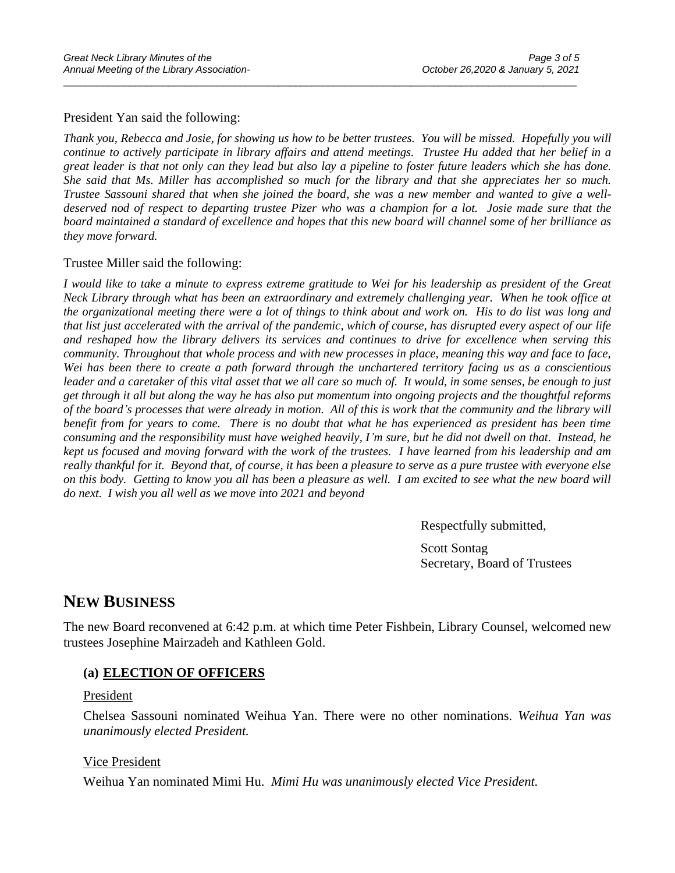#### President Yan said the following:

*Thank you, Rebecca and Josie, for showing us how to be better trustees. You will be missed. Hopefully you will continue to actively participate in library affairs and attend meetings. Trustee Hu added that her belief in a great leader is that not only can they lead but also lay a pipeline to foster future leaders which she has done. She said that Ms. Miller has accomplished so much for the library and that she appreciates her so much. Trustee Sassouni shared that when she joined the board, she was a new member and wanted to give a welldeserved nod of respect to departing trustee Pizer who was a champion for a lot. Josie made sure that the board maintained a standard of excellence and hopes that this new board will channel some of her brilliance as they move forward.*

\_\_\_\_\_\_\_\_\_\_\_\_\_\_\_\_\_\_\_\_\_\_\_\_\_\_\_\_\_\_\_\_\_\_\_\_\_\_\_\_\_\_\_\_\_\_\_\_\_\_\_\_\_\_\_\_\_\_\_\_\_\_\_\_\_\_\_\_\_\_\_\_\_\_\_\_\_\_\_\_\_\_\_\_\_\_\_\_\_\_\_\_\_

#### Trustee Miller said the following:

*I would like to take a minute to express extreme gratitude to Wei for his leadership as president of the Great Neck Library through what has been an extraordinary and extremely challenging year. When he took office at the organizational meeting there were a lot of things to think about and work on. His to do list was long and that list just accelerated with the arrival of the pandemic, which of course, has disrupted every aspect of our life and reshaped how the library delivers its services and continues to drive for excellence when serving this community. Throughout that whole process and with new processes in place, meaning this way and face to face, Wei has been there to create a path forward through the unchartered territory facing us as a conscientious leader and a caretaker of this vital asset that we all care so much of. It would, in some senses, be enough to just get through it all but along the way he has also put momentum into ongoing projects and the thoughtful reforms of the board's processes that were already in motion. All of this is work that the community and the library will benefit from for years to come. There is no doubt that what he has experienced as president has been time consuming and the responsibility must have weighed heavily, I'm sure, but he did not dwell on that. Instead, he kept us focused and moving forward with the work of the trustees. I have learned from his leadership and am really thankful for it. Beyond that, of course, it has been a pleasure to serve as a pure trustee with everyone else on this body.* Getting to know you all has been a pleasure as well. I am excited to see what the new board will *do next. I wish you all well as we move into 2021 and beyond*

Respectfully submitted,

Scott Sontag Secretary, Board of Trustees

### **NEW BUSINESS**

The new Board reconvened at 6:42 p.m. at which time Peter Fishbein, Library Counsel, welcomed new trustees Josephine Mairzadeh and Kathleen Gold.

#### **(a) ELECTION OF OFFICERS**

#### President

Chelsea Sassouni nominated Weihua Yan. There were no other nominations. *Weihua Yan was unanimously elected President.*

#### Vice President

Weihua Yan nominated Mimi Hu. *Mimi Hu was unanimously elected Vice President.*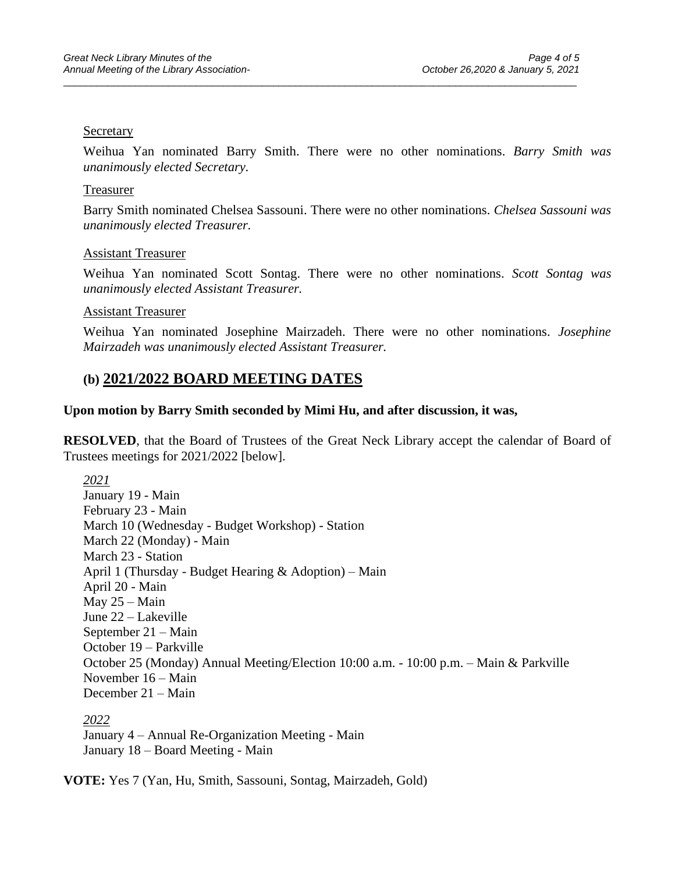#### Secretary

Weihua Yan nominated Barry Smith. There were no other nominations. *Barry Smith was unanimously elected Secretary.*

\_\_\_\_\_\_\_\_\_\_\_\_\_\_\_\_\_\_\_\_\_\_\_\_\_\_\_\_\_\_\_\_\_\_\_\_\_\_\_\_\_\_\_\_\_\_\_\_\_\_\_\_\_\_\_\_\_\_\_\_\_\_\_\_\_\_\_\_\_\_\_\_\_\_\_\_\_\_\_\_\_\_\_\_\_\_\_\_\_\_\_\_\_

#### Treasurer

Barry Smith nominated Chelsea Sassouni. There were no other nominations. *Chelsea Sassouni was unanimously elected Treasurer.*

#### Assistant Treasurer

Weihua Yan nominated Scott Sontag. There were no other nominations. *Scott Sontag was unanimously elected Assistant Treasurer.*

#### Assistant Treasurer

Weihua Yan nominated Josephine Mairzadeh. There were no other nominations. *Josephine Mairzadeh was unanimously elected Assistant Treasurer.*

### **(b) 2021/2022 BOARD MEETING DATES**

#### **Upon motion by Barry Smith seconded by Mimi Hu, and after discussion, it was,**

**RESOLVED**, that the Board of Trustees of the Great Neck Library accept the calendar of Board of Trustees meetings for 2021/2022 [below].

*2021* January 19 - Main February 23 - Main March 10 (Wednesday - Budget Workshop) - Station March 22 (Monday) - Main March 23 - Station April 1 (Thursday - Budget Hearing & Adoption) – Main April 20 - Main May 25 – Main June 22 – Lakeville September 21 – Main October 19 – Parkville October 25 (Monday) Annual Meeting/Election 10:00 a.m. - 10:00 p.m. – Main & Parkville November 16 – Main December 21 – Main

*2022* January 4 – Annual Re-Organization Meeting - Main January 18 – Board Meeting - Main

**VOTE:** Yes 7 (Yan, Hu, Smith, Sassouni, Sontag, Mairzadeh, Gold)